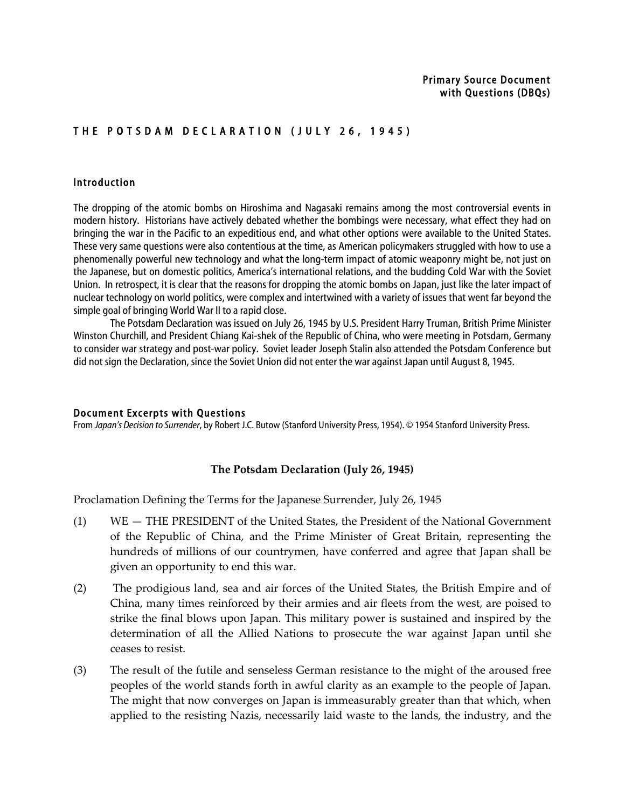# THE POTSDAM DECLARATION (JULY 26, 1945)

### Introduction

The dropping of the atomic bombs on Hiroshima and Nagasaki remains among the most controversial events in modern history. Historians have actively debated whether the bombings were necessary, what effect they had on bringing the war in the Pacific to an expeditious end, and what other options were available to the United States. These very same questions were also contentious at the time, as American policymakers struggled with how to use a phenomenally powerful new technology and what the long-term impact of atomic weaponry might be, not just on the Japanese, but on domestic politics, America's international relations, and the budding Cold War with the Soviet Union. In retrospect, it is clear that the reasons for dropping the atomic bombs on Japan, just like the later impact of nuclear technology on world politics, were complex and intertwined with a variety of issues that went far beyond the simple goal of bringing World War II to a rapid close.

The Potsdam Declaration was issued on July 26, 1945 by U.S. President Harry Truman, British Prime Minister Winston Churchill, and President Chiang Kai-shek of the Republic of China, who were meeting in Potsdam, Germany to consider war strategy and post-war policy. Soviet leader Joseph Stalin also attended the Potsdam Conference but did not sign the Declaration, since the Soviet Union did not enter the war against Japan until August 8, 1945.

#### Document Excerpts with Questions

From *Japan's Decision to Surrender*, by Robert J.C. Butow (Stanford University Press, 1954). © 1954 Stanford University Press.

#### **The
Potsdam
Declaration
(July
26,
1945)**

Proclamation Defining the Terms for the Japanese Surrender, July 26, 1945

- (1) WE THE
PRESIDENT
of
the
United
States,
the
President
of
the
National
Government of
 the
 Republic
 of
 China,
 and
 the
 Prime
 Minister
 of
 Great
 Britain,
 representing
 the hundreds of millions of our countrymen, have conferred and agree that Japan shall be given
an
opportunity
to
end
this
war.
- (2) The
prodigious
land,
sea
and
air
 forces
of
 the
United
States,
 the
British
Empire
and
of China,
many
times
reinforced
by
their
armies
and
air
fleets
from
the
west,
are
poised
to strike the final blows upon Japan. This military power is sustained and inspired by the determination of all the Allied Nations to prosecute the war against Japan until she ceases
to
resist.
- (3) The result of the futile and senseless German resistance to the might of the aroused free peoples of the world stands forth in awful clarity as an example to the people of Japan. The
might
that
now
converges
on
Japan
is
immeasurably
greater
than
that
which,
when applied to the resisting Nazis, necessarily laid waste to the lands, the industry, and the